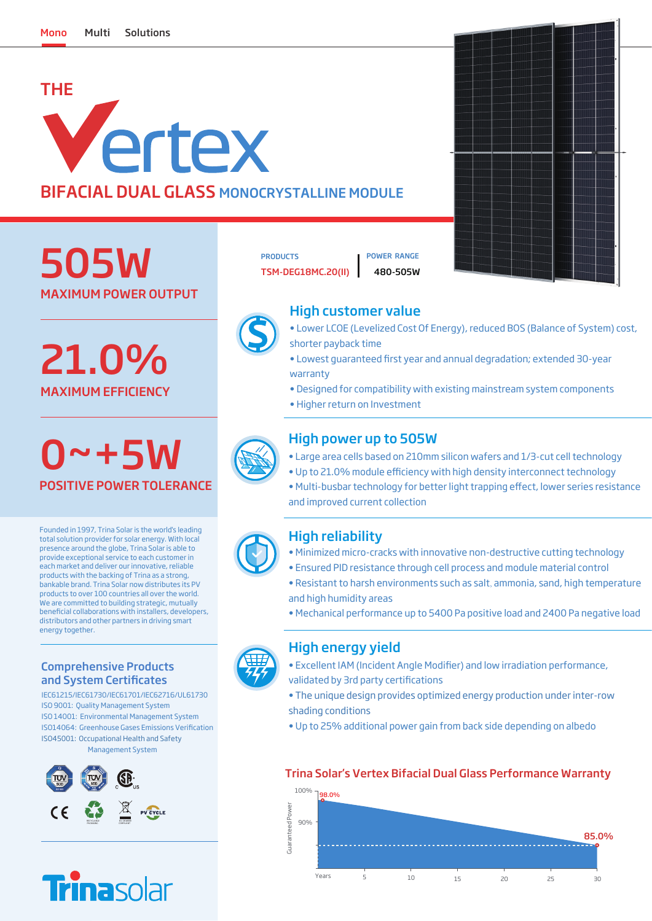# THE Vertex BIFACIAL DUAL GLASS MONOCRYSTALLINE MODULE

MAXIMUM POWER OUTPUT 505W

MAXIMUM EFFICIENCY 21.0%

## 0~+5W POSITIVE POWER TOLERANCE

Founded in 1997, Trina Solar is the world's leading total solution provider for solar energy. With local presence around the globe, Trina Solar is able to provide exceptional service to each customer in each market and deliver our innovative, reliable products with the backing of Trina as a strong, bankable brand. Trina Solar now distributes its PV products to over 100 countries all over the world. We are committed to building strategic, mutually benecial collaborations with installers, developers, distributors and other partners in driving smart energy together.

### Comprehensive Products and System Certificates

IEC61215/IEC61730/IEC61701/IEC62716/UL61730 ISO 9001: Quality Management System ISO 14001: Environmental Management System ISO14064: Greenhouse Gases Emissions Verification ISO45001: Occupational Health and Safety Management System





## PRODUCTS **I POWER RANGE**

TSM-DEG18MC.20(II) 480-505W



## High customer value



- Lower LCOE (Levelized Cost Of Energy), reduced BOS (Balance of System) cost, shorter payback time
- Lowest guaranteed first year and annual degradation; extended 30-year warranty
- Designed for compatibility with existing mainstream system components
- Higher return on Investment



## High power up to 505W

- Large area cells based on 210mm silicon wafers and 1/3-cut cell technology
- Up to 21.0% module efficiency with high density interconnect technology
- Multi-busbar technology for better light trapping effect, lower series resistance and improved current collection

## High reliability

- Minimized micro-cracks with innovative non-destructive cutting technology
- Ensured PID resistance through cell process and module material control
- Resistant to harsh environments such as salt, ammonia, sand, high temperature and high humidity areas
- Mechanical performance up to 5400 Pa positive load and 2400 Pa negative load

## High energy yield

- Excellent IAM (Incident Angle Modifier) and low irradiation performance, validated by 3rd party certifications
- The unique design provides optimized energy production under inter-row shading conditions
- Up to 25% additional power gain from back side depending on albedo

## Trina Solar's Vertex Bifacial Dual Glass Performance Warranty